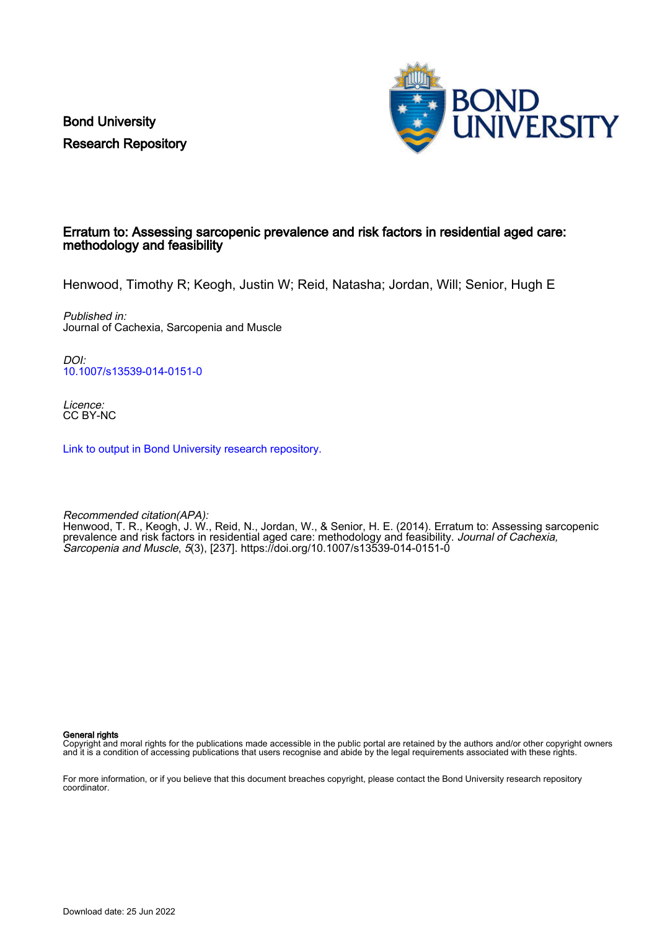Bond University Research Repository



## Erratum to: Assessing sarcopenic prevalence and risk factors in residential aged care: methodology and feasibility

Henwood, Timothy R; Keogh, Justin W; Reid, Natasha; Jordan, Will; Senior, Hugh E

Published in: Journal of Cachexia, Sarcopenia and Muscle

DOI: [10.1007/s13539-014-0151-0](https://doi.org/10.1007/s13539-014-0151-0)

Licence: CC BY-NC

[Link to output in Bond University research repository.](https://research.bond.edu.au/en/publications/8346803e-18b7-4d5a-8d4d-50b5aec34c14)

Recommended citation(APA): Henwood, T. R., Keogh, J. W., Reid, N., Jordan, W., & Senior, H. E. (2014). Erratum to: Assessing sarcopenic prevalence and risk factors in residential aged care: methodology and feasibility. *Journal of Cachexia,* Sarcopenia and Muscle, 5(3), [237].<https://doi.org/10.1007/s13539-014-0151-0>

General rights

Copyright and moral rights for the publications made accessible in the public portal are retained by the authors and/or other copyright owners and it is a condition of accessing publications that users recognise and abide by the legal requirements associated with these rights.

For more information, or if you believe that this document breaches copyright, please contact the Bond University research repository coordinator.